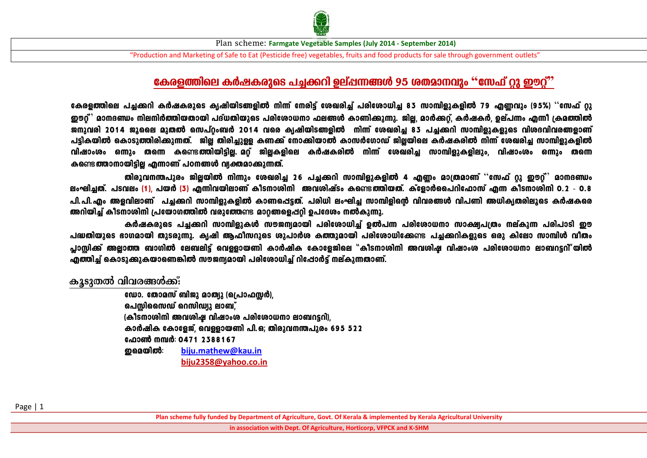

"Production and Marketing of Safe to Eat (Pesticide free) vegetables, fruits and food products for sale through government outlets"

## **tIcf¯nse IÀjIcpsS ]¨¡dn Dev¸¶§Ä 95 iXam\hpw "tk^v äp Cuäv"**

്കേരളത്തിലെ പച്ചക്കറി കർഷകരുടെ ക്യഷിയിടങ്ങളിൽ നിന്ന് നേരിട്ട് ശേഖരിച്ച് പരിശോധിച്ച 83 സാമ്പിളുകളിൽ 79 എണവും (95%) <sup>പ</sup>സേഫ് റു ഈറ്<sup>?</sup> മാനദണ്ഡം നിലനിർത്തിയതായി പദ്ധതിയുടെ പരിശോധനാ ഫലങ്ങൾ കാണിക്കുന്നു. ജില്ല, മാർക്കറ്റ്, കർഷകർ, ഉല്പന്നം എന്നീ ക്രമത്തിൽ ജനുവരി 2014 ജൂലൈ മുതൽ സെപ്റ്റംബർ 2014 വരെ ക്യഷിയിടങ്ങളിൽ നിന്ന് ശേഖരിച്ച 83 പച്ചക്കറി സാമ്പിളുകളുടെ വിശദവിവരങ്ങളാണ് പട്ടികയിൽ കൊടുത്തിരിക്കുന്നത്. ജില്ല തിരിച്ചുള്ള കണക്ക് നോക്കിയാൽ കാസർഗോഡ് ജിലയിലെ കർഷകരിൽ നിന്ന് ശേഖരിച്ച സാമ്പിളുകളിൽ han 2000 **. മണ്ണൂം തന്നെ കണ്ടെത്തിയിട്ടില്ല. മറ്റ്** ജില്ലകളിലെ കർഷകരിൽ നിന്ന് ശേഖരിച്ച സാമ്പിളുകളിലും, വിഷാംശം ഒന്നും തന്നെ **കണ്ടെത്താനായിടില എന്നാണ് പഠനങ്ങൾ വ്യക്തമാക്കുന്നത്.** 

തിരൂവനന്തപുരം ജിലയിൽ നിന്നും ശേഖരിച്ച 26 പച്ചക്കറി സാമ്പിളുകളിൽ 4 എണ്ണം മാത്രമാണ് "സേഫ് റു ഈറ്<sup>"</sup> മാനദണ്ഡം ലംഘിച്ചത്. പടവലം (1), പയർ (3) എന്നിവയിലാണ് കീടനാശിനി അവശിഷ്ടം കണ്ടെ**ത്തിയത്**. ക്ളോർപൈറിഫോസ് എന്ന കീടനാശിനി 0.2 - 0.8 പി.പി.എം അളവിലാണ് പച്ചക്കറി സാമ്പിളുകളിൽ കാണപ്പെട്ടത്. പരിധി ലംഘിച്ച സാമ്പിളിന്റെ വിവരങ്ങൾ വിപണി അധിക്യതരിലൂടെ കർഷകരെ ്രസിയിച്ച് കീടനാശിനി പ്രയോഗ**ത്തിൽ വരുത്തേ**ണ്ട മാറ്റങ്ങളെപ്പറ്റി ഉപദേശം നൽകുന്നു.

കർഷകരുടെ പചക്കറി സാമ്പിളുകൾ സൗജന്യമായി പരിശോധിച് ഉൽപന്ന പരിശോധനാ സാക്ഷപ്രശം നല്കുന്ന പരിപാടി ഈ പദ്ധതിയുടെ ഭാഗമായി തുടരുന്നു. കൃഷി ആഫീസറുടെ ശുപാർശ കത്തുമായി പരിശോധിക്കേണ്ട പചക്കറികളുടെ ഒരു കിലോ സാമ്പിൾ വീതം പാസിക്ക് അലാത്ത ബാഗിൽ ലേബലിട്ട് വെള്ളായണി കാർഷിക കോളേജിലെ "കീടനാശിനി അവശിഷ വിഷാംശ പരിശോധനാ ലാബറട്ടറി"യിൽ ഹ്മത്തിച് കൊടുക്കുകയാണെങ്കിൽ സൗജന്യമായി പരിശോധിച് റിപ്പോർട്ട് നല്കുന്നതാണ്.

കൂടുതൽ വിവരങ്ങൾക്ക്:

ഡോ. തോമസ് ബിജു മാത്യു (പ്രൊഫസ്സർ), ചെസിസൈഡ് റെസിഡ്യു ലാബ്. $v$  $\mathcal{L}(\mathbf{A})$ ടനാശിനി അവശിഷ വിഷാംശ പരിശോധനാ ലാബറട്ടറി), കാർഷിക കോളേജ്, വെള്ളായണി പി.ഒ; തിരുവനന്തപുരം 695 522 ഹോൺ നമ്പർ: 0471 2388167 CsabnÂ: **[biju.mathew@kau.in](mailto:biju.mathew@kau.in) [biju2358@yahoo.co.in](mailto:biju2358@yahoo.co.in)**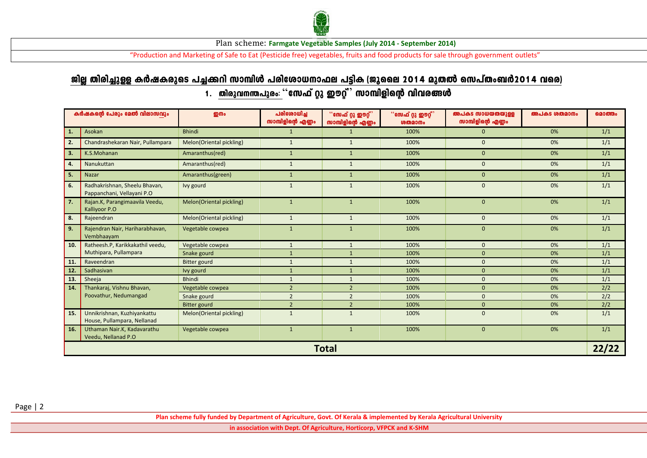

"Production and Marketing of Safe to Eat (Pesticide free) vegetables, fruits and food products for sale through government outlets"

# <u>ജില്ല തിരിച്ചുള്ള കർഷകരുടെ പച്ചക്കറി സാമ്പിൾ പരിശോധനാഫല പട്ടിക (ജുലൈ 2014 മുതൽ സെപ്തംബർ2014 വരെ)</u> 1. തിരുവനന്തപുരം: '`സേഫ് റ്റു ഈറ്റ്് സാമ്പിളിന്റെ വിവരങ്ങൾ

|                             | കർഷകന്റെ പേരും മേൽ വിലാസവും                                 | <b>ഇനം</b>               | പരിശോധിച്ച<br>സാമ്പിളിന്റെ എണ്ണം | ്നേഫ് റ്റു ഈറ്റ്<br>സാമ്പിളിന്റെ എണ്ണം | "സേഫ് റ്റു ഈറ്റ്"<br><b>ശതമാനം</b> | അപകട സാധയതയുള്ള<br>സാമ്പിളിന്റെ എണ്ണം | അപകട ശതമാനം | മൊത്തം |  |  |
|-----------------------------|-------------------------------------------------------------|--------------------------|----------------------------------|----------------------------------------|------------------------------------|---------------------------------------|-------------|--------|--|--|
| $\vert$ 1.                  | Asokan                                                      | <b>Bhindi</b>            | $\mathbf{1}$                     | $\mathbf{1}$                           | 100%                               | $\mathbf{0}$                          | 0%          | 1/1    |  |  |
| $\boxed{2}$                 | Chandrashekaran Nair, Pullampara                            | Melon(Oriental pickling) | $\mathbf{1}$                     | $\mathbf{1}$                           | 100%                               | $\Omega$                              | 0%          | 1/1    |  |  |
| $\overline{\phantom{a}}$ 3. | K.S.Mohanan                                                 | Amaranthus(red)          | $\mathbf{1}$                     | $\mathbf{1}$                           | 100%                               | $\mathbf{0}$                          | 0%          | 1/1    |  |  |
| $\overline{4}$ .            | Nanukuttan                                                  | Amaranthus(red)          | $\mathbf{1}$                     | $\mathbf{1}$                           | 100%                               | $\mathbf{0}$                          | 0%          | 1/1    |  |  |
| $\overline{5}$              | Nazar                                                       | Amaranthus(green)        | $\mathbf{1}$                     | $\mathbf{1}$                           | 100%                               | $\mathbf{0}$                          | 0%          | 1/1    |  |  |
| $\overline{6}$ .            | Radhakrishnan, Sheelu Bhavan,<br>Pappanchani, Vellayani P.O | Ivy gourd                | $\mathbf{1}$                     | $\mathbf{1}$                           | 100%                               | $\mathbf{0}$                          | 0%          | 1/1    |  |  |
| $\boxed{7}$                 | Rajan.K, Parangimaavila Veedu,<br>Kalliyoor P.O             | Melon(Oriental pickling) | $\mathbf{1}$                     | $\mathbf{1}$                           | 100%                               | $\mathbf{0}$                          | 0%          | 1/1    |  |  |
| $\overline{\phantom{a}}$ 8. | Rajeendran                                                  | Melon(Oriental pickling) | $\mathbf{1}$                     | $\mathbf{1}$                           | 100%                               | $\mathbf{0}$                          | 0%          | 1/1    |  |  |
| $\sqrt{9}$ .                | Rajendran Nair, Hariharabhavan,<br>Vembhaayam               | Vegetable cowpea         | $\mathbf{1}$                     | $\mathbf{1}$                           | 100%                               | $\mathbf{0}$                          | 0%          | 1/1    |  |  |
| 10.                         | Ratheesh.P, Karikkakathil veedu,                            | Vegetable cowpea         | $\mathbf{1}$                     | $\mathbf{1}$                           | 100%                               | $\mathbf{0}$                          | 0%          | 1/1    |  |  |
|                             | Muthipara, Pullampara                                       | Snake gourd              | $\mathbf{1}$                     | $\mathbf{1}$                           | 100%                               | $\mathbf{0}$                          | 0%          | 1/1    |  |  |
| 11.                         | Raveendran                                                  | <b>Bitter gourd</b>      | $\mathbf{1}$                     | $\mathbf{1}$                           | 100%                               | $\mathbf{0}$                          | 0%          | 1/1    |  |  |
| 12.                         | Sadhasivan                                                  | Ivy gourd                | $\mathbf{1}$                     | $\mathbf{1}$                           | 100%                               | $\Omega$                              | 0%          | 1/1    |  |  |
| 13.                         | Sheeja                                                      | <b>Bhindi</b>            | $\mathbf{1}$                     | $\mathbf{1}$                           | 100%                               | $\mathbf 0$                           | 0%          | 1/1    |  |  |
| 14.                         | Thankaraj, Vishnu Bhavan,                                   | Vegetable cowpea         | $\overline{2}$                   | $\overline{2}$                         | 100%                               | $\mathbf{0}$                          | 0%          | 2/2    |  |  |
|                             | Poovathur, Nedumangad                                       | Snake gourd              | $\overline{2}$                   | $\overline{2}$                         | 100%                               | $\Omega$                              | 0%          | 2/2    |  |  |
|                             |                                                             | <b>Bitter gourd</b>      | $\overline{2}$                   | $\overline{2}$                         | 100%                               | $\mathbf{0}$                          | 0%          | 2/2    |  |  |
| 15.                         | Unnikrishnan, Kuzhiyankattu<br>House, Pullampara, Nellanad  | Melon(Oriental pickling) | $\mathbf{1}$                     | $\mathbf{1}$                           | 100%                               | $\mathbf{0}$                          | 0%          | 1/1    |  |  |
| 16.                         | Uthaman Nair.K, Kadavarathu<br>Veedu, Nellanad P.O          | Vegetable cowpea         | $\mathbf{1}$                     | $\mathbf{1}$                           | 100%                               | $\mathbf{0}$                          | 0%          | 1/1    |  |  |
| <b>Total</b><br>22/22       |                                                             |                          |                                  |                                        |                                    |                                       |             |        |  |  |

Page | 2

**Plan scheme fully funded by Department of Agriculture, Govt. Of Kerala & implemented by Kerala Agricultural University** 

**in association with Dept. Of Agriculture, Horticorp, VFPCK and K-SHM**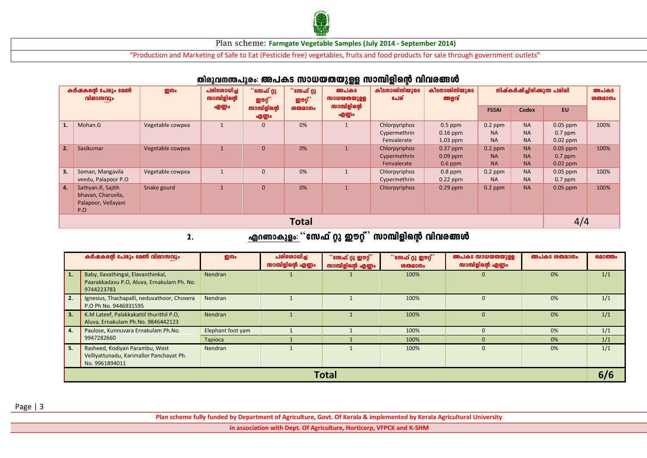

"Production and Marketing of Safe to Eat (Pesticide free) vegetables, fruits and food products for sale through government outlets"

|                                | $1011001 - 01010$                                                     |                  |                                               |                       |                         |                                    |                                              |                                       |                                     |                                     |                                       |                |
|--------------------------------|-----------------------------------------------------------------------|------------------|-----------------------------------------------|-----------------------|-------------------------|------------------------------------|----------------------------------------------|---------------------------------------|-------------------------------------|-------------------------------------|---------------------------------------|----------------|
| കർഷകന്റെ പേരും മേൽ<br>വിലാസവും |                                                                       | றுமை             | പരിശോധിച്ച<br>സാമ്പിളിന്റെ<br><b>ഇൗറ്റ്</b> ് | ്"സേഫ് റ്റു           | ്°േ എഫ് റ്റു<br>ഇൗറ്റ്' | അപകട<br>സാധയതയുള്ള<br>സാമ്പിളിന്റെ | കീടനാശിനിയുടെ<br>പേര്                        | കീടനാശിനിയുടെ<br>അളവ്                 | നിഷ്കർഷിച്ചിരിക്കുന്ന പരിധി         |                                     |                                       | അപകട<br>ശതമാനം |
|                                |                                                                       |                  | എണ്ണം                                         | സാമ്പിളിന്റെ<br>എണ്ണം | <b><u>ശതമാനം</u></b>    | എണ്ണം                              |                                              |                                       | <b>FSSAI</b>                        | <b>Codex</b>                        | EU.                                   |                |
|                                | Mohan.G                                                               | Vegetable cowpea |                                               | $\mathbf{0}$          | 0%                      |                                    | Chlorpyriphos<br>Cypermethrin<br>Fenvalerate | $0.5$ ppm<br>$0.16$ ppm<br>$1.03$ ppm | $0.2$ ppm<br><b>NA</b><br><b>NA</b> | <b>NA</b><br><b>NA</b><br><b>NA</b> | $0.05$ ppm<br>$0.7$ ppm<br>$0.02$ ppm | 100%           |
| 2.                             | Sasikumar                                                             | Vegetable cowpea | $\mathbf{1}$                                  | $\mathbf{0}$          | 0%                      | $\mathbf{1}$                       | Chlorpyriphos<br>Cypermethrin<br>Fenvalerate | $0.37$ ppm<br>$0.09$ ppm<br>$0.6$ ppm | $0.2$ ppm<br><b>NA</b><br><b>NA</b> | <b>NA</b><br><b>NA</b><br><b>NA</b> | $0.05$ ppm<br>$0.7$ ppm<br>$0.02$ ppm | 100%           |
| 3.                             | Soman, Mangavila<br>veedu, Palapoor P.O                               | Vegetable cowpea |                                               | $\mathbf 0$           | 0%                      |                                    | Chlorpyriphos<br>Cypermethrin                | $0.8$ ppm<br>$0.22$ ppm               | $0.2$ ppm<br><b>NA</b>              | <b>NA</b><br><b>NA</b>              | $0.05$ ppm<br>$0.7$ ppm               | 100%           |
| 4.                             | Sathyan.R, Sajith<br>bhavan, Charuvila,<br>Palapoor, Vellayani<br>P.O | Snake gourd      |                                               | $\mathbf{0}$          | 0%                      | $\mathbf{1}$                       | Chlorpyriphos                                | $0.29$ ppm                            | $0.2$ ppm                           | <b>NA</b>                           | $0.05$ ppm                            | 100%           |
|                                | <b>Total</b>                                                          |                  |                                               |                       |                         |                                    |                                              |                                       |                                     | 4/4                                 |                                       |                |

### തിരുവനന്തപുരം: അപകട സാധയതയുള്ള സാമ്പിളിന്റെ വിവരങ്ങൾ

# 2. FdWmIpfw: "tk^v äp Cuäv" km¼nfnsâ hnhc§Ä

| കർഷകന്റെ പേരും മേൽ വിലാസവും |                                                                                                | றி                | പരിശോധിച്ച<br>സാമ്പിളിന്റെ എണ്ണം | ്°േഫ് റ്റു ഈറ്റ്<br>സാമ്പിളിന്റെ എണ്ണം | "സേഫ് റ്റു ഈറ്റ്"<br><b>ശതമാനം</b> | അപകട സാധയതയുള്ള<br>സാമ്പിളിന്റെ എണ്ണം | അപകട ശതമാനം | മൊത്തം |  |  |
|-----------------------------|------------------------------------------------------------------------------------------------|-------------------|----------------------------------|----------------------------------------|------------------------------------|---------------------------------------|-------------|--------|--|--|
| 1.                          | Baby, Ilavathingal, Elavanthinkal,<br>Paarakkadavu P.O. Aluva, Ernakulam Ph. No.<br>9744223783 | Nendran           |                                  |                                        | 100%                               | $\mathbf{0}$                          | 0%          | 1/1    |  |  |
| 2.                          | Ignesius, Thachapalli, neduvathoor, Chovera<br>P.O Ph No. 9446931595                           | Nendran           |                                  |                                        | 100%                               |                                       | 0%          | 1/1    |  |  |
| 3.                          | K.M Lateef, Palakkakattil thurithil P.O.<br>Aluva, Ernakulam Ph.No. 9846442123                 | <b>Nendran</b>    |                                  |                                        | 100%                               | $\Omega$                              | 0%          | 1/1    |  |  |
| 4.                          | Paulose, Kunnuvara Ernakulam Ph.No.<br>9947282660                                              | Elephant foot yam |                                  |                                        | 100%                               |                                       | 0%          | 1/1    |  |  |
|                             |                                                                                                | Tapioca           |                                  |                                        | 100%                               |                                       | 0%          | 1/1    |  |  |
| 5.                          | Rasheed, Kodiyan Parambu, West<br>Velliyattunadu, Karimallor Panchayat Ph.<br>No. 9961894011   | Nendran           |                                  |                                        | 100%                               | $\Omega$                              | 0%          | 1/1    |  |  |
|                             | Total                                                                                          |                   |                                  |                                        |                                    |                                       |             |        |  |  |

Page | 3

**Plan scheme fully funded by Department of Agriculture, Govt. Of Kerala & implemented by Kerala Agricultural University** 

**in association with Dept. Of Agriculture, Horticorp, VFPCK and K-SHM**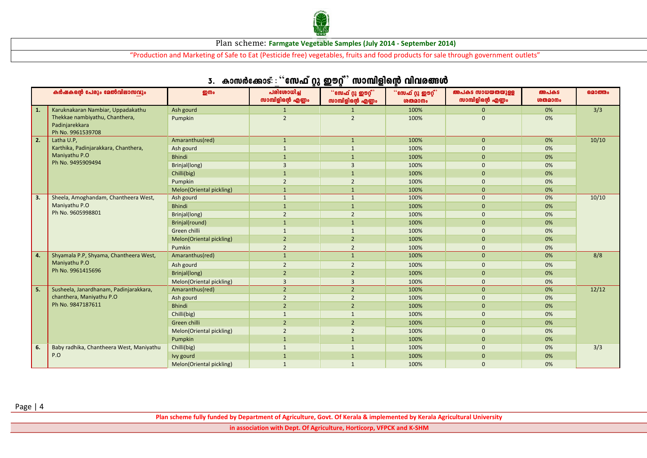

"Production and Marketing of Safe to Eat (Pesticide free) vegetables, fruits and food products for sale through government outlets"

| $\sim$ $-$<br>- |                                                                              |                          |                                  |                                                           |                                                             |                                       |                                     |        |
|-----------------|------------------------------------------------------------------------------|--------------------------|----------------------------------|-----------------------------------------------------------|-------------------------------------------------------------|---------------------------------------|-------------------------------------|--------|
|                 | കർഷകന്റെ പേരും മേൽവിലാസവും                                                   | <b>ഇനം</b>               | പരിശോധിച്ച<br>സാമ്പിളിന്റെ എണ്ണം | $\degree$ സേഫ് റ്റു ഈറ്റ് $\degree$<br>സാമ്പിളിന്റെ എണ്ണം | $\lq\lq$ ്സേഫ് റ്റു ഈറ്റ് $\rqq\rq$<br><b><u>ശതമാനം</u></b> | അപകട സാധയതയുള്ള<br>സാമ്പിളിന്റെ എണ്ണം | അപകട<br><b><u><b>GMQ3Mo</b></u></b> | മൊത്തം |
| 1.              | Karuknakaran Nambiar, Uppadakathu                                            | Ash gourd                | $\mathbf{1}$                     | $\mathbf{1}$                                              | 100%                                                        | $\mathbf{0}$                          | 0%                                  | 3/3    |
|                 | Thekkae nambiyathu, Chanthera,                                               | Pumpkin                  | $\overline{2}$                   | $\overline{2}$                                            | 100%                                                        | $\Omega$                              | 0%                                  |        |
|                 | Padinjarekkara<br>Ph No. 9961539708                                          |                          |                                  |                                                           |                                                             |                                       |                                     |        |
| 2.              | Latha U.P.                                                                   | Amaranthus(red)          | $\mathbf{1}$                     | $\mathbf{1}$                                              | 100%                                                        | $\mathbf{0}$                          | 0%                                  | 10/10  |
|                 | Karthika, Padinjarakkara, Chanthera,                                         | Ash gourd                | $\mathbf{1}$                     | $\overline{1}$                                            | 100%                                                        | $\mathbf{0}$                          | 0%                                  |        |
|                 | Maniyathu P.O                                                                | <b>Bhindi</b>            | $\mathbf{1}$                     | $\mathbf{1}$                                              | 100%                                                        | $\mathbf{0}$                          | 0%                                  |        |
|                 | Ph No. 9495909494                                                            | Brinjal(long)            | $\overline{3}$                   | $\overline{3}$                                            | 100%                                                        | $\mathbf{0}$                          | 0%                                  |        |
|                 |                                                                              | Chilli(big)              | $\mathbf{1}$                     | $\mathbf{1}$                                              | 100%                                                        | $\mathbf{0}$                          | 0%                                  |        |
|                 |                                                                              | Pumpkin                  | $\overline{2}$                   | $\overline{2}$                                            | 100%                                                        | $\overline{0}$                        | 0%                                  |        |
|                 |                                                                              | Melon(Oriental pickling) | $\mathbf{1}$                     | $\overline{1}$                                            | 100%                                                        | $\Omega$                              | 0%                                  |        |
| 3.              | Sheela, Amoghandam, Chantheera West,                                         | Ash gourd                | $\mathbf{1}$                     | $\mathbf{1}$                                              | 100%                                                        | $\mathbf{0}$                          | 0%                                  | 10/10  |
|                 | Maniyathu P.O                                                                | <b>Bhindi</b>            | $\mathbf{1}$                     | $\overline{1}$                                            | 100%                                                        | $\mathbf{0}$                          | 0%                                  |        |
|                 | Ph No. 9605998801                                                            | Brinjal(long)            | $\overline{2}$                   | $\overline{2}$                                            | 100%                                                        | $\Omega$                              | 0%                                  |        |
|                 |                                                                              | Brinjal(round)           | $\mathbf{1}$                     | $\overline{1}$                                            | 100%                                                        | $\mathbf{0}$                          | 0%                                  |        |
|                 |                                                                              | Green chilli             | $\mathbf{1}$                     | $\overline{1}$                                            | 100%                                                        | $\mathbf{0}$                          | 0%                                  |        |
|                 |                                                                              | Melon(Oriental pickling) | $\overline{2}$                   | $\overline{2}$                                            | 100%                                                        | $\mathbf{0}$                          | 0%                                  |        |
|                 |                                                                              | Pumkin                   | $\overline{2}$                   | $\overline{2}$                                            | 100%                                                        | $\mathbf{0}$                          | 0%                                  |        |
| 4.              | Shyamala P.P, Shyama, Chantheera West,<br>Maniyathu P.O<br>Ph No. 9961415696 | Amaranthus(red)          | $\mathbf{1}$                     | $\mathbf{1}$                                              | 100%                                                        | $\mathbf{0}$                          | 0%                                  | 8/8    |
|                 |                                                                              | Ash gourd                | $\overline{2}$                   | $\overline{2}$                                            | 100%                                                        | $\mathbf{0}$                          | 0%                                  |        |
|                 |                                                                              | Brinjal(long)            | $\overline{2}$                   | $\overline{2}$                                            | 100%                                                        | $\mathbf{0}$                          | 0%                                  |        |
|                 |                                                                              | Melon(Oriental pickling) | $\overline{3}$                   | $\overline{3}$                                            | 100%                                                        | $\mathbf{0}$                          | 0%                                  |        |
| 5.              | Susheela, Janardhanam, Padinjarakkara,                                       | Amaranthus(red)          | $\sqrt{2}$                       | $\overline{2}$                                            | 100%                                                        | $\mathbf{0}$                          | 0%                                  | 12/12  |
|                 | chanthera, Maniyathu P.O                                                     | Ash gourd                | $\overline{2}$                   | $\overline{2}$                                            | 100%                                                        | $\mathbf{0}$                          | 0%                                  |        |
|                 | Ph No. 9847187611                                                            | <b>Bhindi</b>            | $\overline{2}$                   | $\overline{2}$                                            | 100%                                                        | $\mathbf{0}$                          | 0%                                  |        |
|                 |                                                                              | Chilli(big)              | $\mathbf{1}$                     | $\mathbf{1}$                                              | 100%                                                        | $\mathbf{0}$                          | 0%                                  |        |
|                 |                                                                              | Green chilli             | $\overline{2}$                   | $\overline{2}$                                            | 100%                                                        | $\mathbf{0}$                          | 0%                                  |        |
|                 |                                                                              | Melon(Oriental pickling) | $\overline{2}$                   | $\overline{2}$                                            | 100%                                                        | $\mathbf{0}$                          | 0%                                  |        |
|                 |                                                                              | Pumpkin                  | $\mathbf{1}$                     | -1                                                        | 100%                                                        | $\mathbf{0}$                          | 0%                                  |        |
| 6.              | Baby radhika, Chantheera West, Maniyathu                                     | Chilli(big)              | $\mathbf{1}$                     | $\overline{1}$                                            | 100%                                                        | $\mathbf{0}$                          | 0%                                  | 3/3    |
|                 | P.O                                                                          | Ivy gourd                |                                  | $\overline{1}$                                            | 100%                                                        | $\mathbf{0}$                          | 0%                                  |        |
|                 |                                                                              | Melon(Oriental pickling) | $\mathbf{1}$                     | $\mathbf{1}$                                              | 100%                                                        | $\Omega$                              | 0%                                  |        |

### 3. കാസർക്കോട്:  $\cdot$ ്സേഫ് റു ഈറ് $\degree$  സാമ്പിളിന്റെ വിവരങ്ങൾ

Page | 4